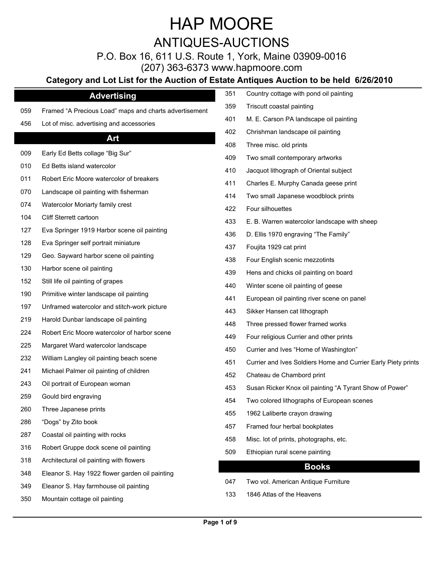ANTIQUES-AUCTIONS

P.O. Box 16, 611 U.S. Route 1, York, Maine 03909-0016

(207) 363-6373 www.hapmoore.com

### **Category and Lot List for the Auction of Est**

| <b>Advertising</b>                             | 351                                                                                                                                           | Country cottage with pond oil painting                        |
|------------------------------------------------|-----------------------------------------------------------------------------------------------------------------------------------------------|---------------------------------------------------------------|
|                                                | 359                                                                                                                                           | Triscutt coastal painting                                     |
|                                                | 401                                                                                                                                           | M. E. Carson PA landscape oil painting                        |
|                                                | 402                                                                                                                                           | Chrishman landscape oil painting                              |
|                                                | 408                                                                                                                                           | Three misc. old prints                                        |
|                                                | 409                                                                                                                                           | Two small contemporary artworks                               |
| Ed Betts island watercolor                     | 410                                                                                                                                           | Jacquot lithograph of Oriental subject                        |
| Robert Eric Moore watercolor of breakers       | 411                                                                                                                                           | Charles E. Murphy Canada geese print                          |
| Landscape oil painting with fisherman          | 414                                                                                                                                           | Two small Japanese woodblock prints                           |
| Watercolor Moriarty family crest               | 422                                                                                                                                           | Four silhouettes                                              |
| Cliff Sterrett cartoon                         | 433                                                                                                                                           | E. B. Warren watercolor landscape with sheep                  |
| Eva Springer 1919 Harbor scene oil painting    | 436                                                                                                                                           | D. Ellis 1970 engraving "The Family"                          |
| Eva Springer self portrait miniature           | 437                                                                                                                                           | Foujita 1929 cat print                                        |
| Geo. Sayward harbor scene oil painting         | 438                                                                                                                                           | Four English scenic mezzotints                                |
| Harbor scene oil painting                      | 439                                                                                                                                           | Hens and chicks oil painting on board                         |
| Still life oil painting of grapes              | 440                                                                                                                                           | Winter scene oil painting of geese                            |
| Primitive winter landscape oil painting        | 441                                                                                                                                           | European oil painting river scene on panel                    |
| Unframed watercolor and stitch-work picture    | 443                                                                                                                                           | Sikker Hansen cat lithograph                                  |
| Harold Dunbar landscape oil painting           | 448                                                                                                                                           | Three pressed flower framed works                             |
| Robert Eric Moore watercolor of harbor scene   | 449                                                                                                                                           | Four religious Currier and other prints                       |
| Margaret Ward watercolor landscape             | 450                                                                                                                                           | Currier and Ives "Home of Washington"                         |
| William Langley oil painting beach scene       |                                                                                                                                               | Currier and Ives Soldiers Home and Currier Early Piety prints |
| Michael Palmer oil painting of children        |                                                                                                                                               | Chateau de Chambord print                                     |
| Oil portrait of European woman                 |                                                                                                                                               | Susan Ricker Knox oil painting "A Tyrant Show of Power"       |
| Gould bird engraving                           |                                                                                                                                               | Two colored lithographs of European scenes                    |
| Three Japanese prints                          |                                                                                                                                               | 1962 Laliberte crayon drawing                                 |
| "Dogs" by Zito book                            |                                                                                                                                               | Framed four herbal bookplates                                 |
| Coastal oil painting with rocks                |                                                                                                                                               | Misc. lot of prints, photographs, etc.                        |
| Robert Gruppe dock scene oil painting          |                                                                                                                                               | Ethiopian rural scene painting                                |
| Architectural oil painting with flowers        |                                                                                                                                               |                                                               |
| Eleanor S. Hay 1922 flower garden oil painting |                                                                                                                                               | <b>Books</b>                                                  |
| Eleanor S. Hay farmhouse oil painting          | 047                                                                                                                                           | Two vol. American Antique Furniture                           |
| Mountain cottage oil painting                  | 133                                                                                                                                           | 1846 Atlas of the Heavens                                     |
|                                                | Framed "A Precious Load" maps and charts advertisement<br>Lot of misc. advertising and accessories<br>Art<br>Early Ed Betts collage "Big Sur" | 451<br>452<br>453<br>454<br>455<br>457<br>458<br>509          |

|     | Category and Lot List for the Auction of Estate Antiques Auction to be held 6/26/2010 |     |                                                               |
|-----|---------------------------------------------------------------------------------------|-----|---------------------------------------------------------------|
|     | <b>Advertising</b>                                                                    | 351 | Country cottage with pond oil painting                        |
| 059 | Framed "A Precious Load" maps and charts advertisement                                | 359 | Triscutt coastal painting                                     |
| 456 | Lot of misc. advertising and accessories                                              | 401 | M. E. Carson PA landscape oil painting                        |
|     | Art                                                                                   | 402 | Chrishman landscape oil painting                              |
|     |                                                                                       | 408 | Three misc. old prints                                        |
| 009 | Early Ed Betts collage "Big Sur"                                                      | 409 | Two small contemporary artworks                               |
| 010 | Ed Betts island watercolor                                                            | 410 | Jacquot lithograph of Oriental subject                        |
| 011 | Robert Eric Moore watercolor of breakers                                              | 411 | Charles E. Murphy Canada geese print                          |
| 070 | Landscape oil painting with fisherman                                                 | 414 | Two small Japanese woodblock prints                           |
| 074 | Watercolor Moriarty family crest                                                      | 422 | Four silhouettes                                              |
| 104 | Cliff Sterrett cartoon                                                                | 433 | E. B. Warren watercolor landscape with sheep                  |
| 127 | Eva Springer 1919 Harbor scene oil painting                                           | 436 | D. Ellis 1970 engraving "The Family"                          |
| 128 | Eva Springer self portrait miniature                                                  | 437 | Foujita 1929 cat print                                        |
| 129 | Geo. Sayward harbor scene oil painting                                                | 438 | Four English scenic mezzotints                                |
| 130 | Harbor scene oil painting                                                             | 439 | Hens and chicks oil painting on board                         |
| 152 | Still life oil painting of grapes                                                     | 440 | Winter scene oil painting of geese                            |
| 190 | Primitive winter landscape oil painting                                               | 441 | European oil painting river scene on panel                    |
| 197 | Unframed watercolor and stitch-work picture                                           | 443 | Sikker Hansen cat lithograph                                  |
| 219 | Harold Dunbar landscape oil painting                                                  | 448 | Three pressed flower framed works                             |
| 224 | Robert Eric Moore watercolor of harbor scene                                          | 449 | Four religious Currier and other prints                       |
| 225 | Margaret Ward watercolor landscape                                                    | 450 | Currier and Ives "Home of Washington"                         |
| 232 | William Langley oil painting beach scene                                              | 451 | Currier and Ives Soldiers Home and Currier Early Piety prints |
| 241 | Michael Palmer oil painting of children                                               | 452 | Chateau de Chambord print                                     |
| 243 | Oil portrait of European woman                                                        | 453 | Susan Ricker Knox oil painting "A Tyrant Show of Power"       |
| 259 | Gould bird engraving                                                                  | 454 | Two colored lithographs of European scenes                    |
| 260 | Three Japanese prints                                                                 | 455 | 1962 Laliberte crayon drawing                                 |
| 286 | "Dogs" by Zito book                                                                   |     |                                                               |
| 287 | Coastal oil painting with rocks                                                       | 457 | Framed four herbal bookplates                                 |
| 316 | Robert Gruppe dock scene oil painting                                                 | 458 | Misc. lot of prints, photographs, etc.                        |
| 318 | Architectural oil painting with flowers                                               | 509 | Ethiopian rural scene painting                                |
| 348 | Eleanor S. Hay 1922 flower garden oil painting                                        |     | <b>Books</b>                                                  |
| ว⊿ฉ | Fleanor S. Hay farmhouse oil nainting                                                 | 047 | Two vol. American Antique Furniture                           |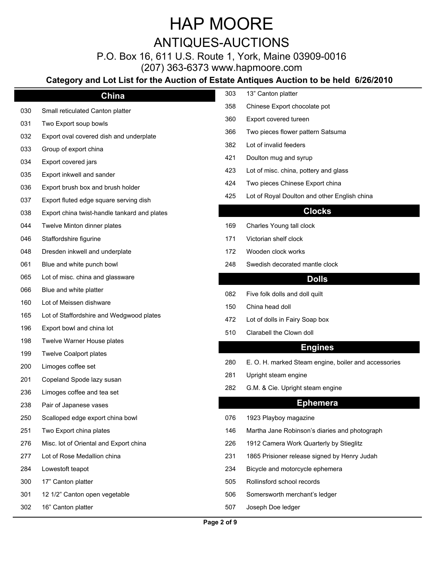### ANTIQUES-AUCTIONS

### P.O. Box 16, 611 U.S. Route 1, York, Maine 03909-0016

(207) 363-6373 www.hapmoore.com

### **Category and Lot List for the Auction of Est**

| China                                    | 303                                                                                                                                                                             | 13" Canton platter                                         |
|------------------------------------------|---------------------------------------------------------------------------------------------------------------------------------------------------------------------------------|------------------------------------------------------------|
| Small reticulated Canton platter         | 358                                                                                                                                                                             | Chinese Export chocolate pot                               |
| Two Export soup bowls                    | 360                                                                                                                                                                             | Export covered tureen                                      |
| Export oval covered dish and underplate  | 366                                                                                                                                                                             | Two pieces flower pattern Satsuma                          |
| Group of export china                    | 382                                                                                                                                                                             | Lot of invalid feeders                                     |
|                                          | 421                                                                                                                                                                             | Doulton mug and syrup                                      |
|                                          | 423                                                                                                                                                                             | Lot of misc. china, pottery and glass                      |
|                                          | 424                                                                                                                                                                             | Two pieces Chinese Export china                            |
|                                          | 425                                                                                                                                                                             | Lot of Royal Doulton and other English china               |
|                                          |                                                                                                                                                                                 | <b>Clocks</b>                                              |
| Twelve Minton dinner plates              | 169                                                                                                                                                                             | Charles Young tall clock                                   |
| Staffordshire figurine                   | 171                                                                                                                                                                             | Victorian shelf clock                                      |
| Dresden inkwell and underplate           | 172                                                                                                                                                                             | Wooden clock works                                         |
| Blue and white punch bowl                | 248                                                                                                                                                                             | Swedish decorated mantle clock                             |
| Lot of misc. china and glassware         |                                                                                                                                                                                 | <b>Dolls</b>                                               |
| Blue and white platter                   |                                                                                                                                                                                 |                                                            |
| Lot of Meissen dishware                  |                                                                                                                                                                                 | Five folk dolls and doll quilt<br>China head doll          |
| Lot of Staffordshire and Wedgwood plates |                                                                                                                                                                                 |                                                            |
| Export bowl and china lot                |                                                                                                                                                                                 | Lot of dolls in Fairy Soap box<br>Clarabell the Clown doll |
| Twelve Warner House plates               |                                                                                                                                                                                 |                                                            |
| <b>Twelve Coalport plates</b>            |                                                                                                                                                                                 | <b>Engines</b>                                             |
| Limoges coffee set                       | 280                                                                                                                                                                             | E. O. H. marked Steam engine, boiler and accessories       |
| Copeland Spode lazy susan                | 281                                                                                                                                                                             | Upright steam engine                                       |
| Limoges coffee and tea set               | 282                                                                                                                                                                             | G.M. & Cie. Upright steam engine                           |
| Pair of Japanese vases                   |                                                                                                                                                                                 | <b>Ephemera</b>                                            |
| Scalloped edge export china bowl         | 076                                                                                                                                                                             | 1923 Playboy magazine                                      |
| Two Export china plates                  | 146                                                                                                                                                                             | Martha Jane Robinson's diaries and photograph              |
| Misc. lot of Oriental and Export china   | 226                                                                                                                                                                             | 1912 Camera Work Quarterly by Stieglitz                    |
| Lot of Rose Medallion china              | 231                                                                                                                                                                             | 1865 Prisioner release signed by Henry Judah               |
| Lowestoft teapot                         | 234                                                                                                                                                                             | Bicycle and motorcycle ephemera                            |
| 17" Canton platter                       | 505                                                                                                                                                                             | Rollinsford school records                                 |
| 12 1/2" Canton open vegetable            | 506                                                                                                                                                                             | Somersworth merchant's ledger                              |
| 16" Canton platter                       | 507                                                                                                                                                                             | Joseph Doe ledger                                          |
|                                          | Export covered jars<br>Export inkwell and sander<br>Export brush box and brush holder<br>Export fluted edge square serving dish<br>Export china twist-handle tankard and plates | 082<br>150<br>472<br>510                                   |

|     | Category and Lot List for the Auction of Estate Antiques Auction to be held 6/26/2010 |     |                                                      |
|-----|---------------------------------------------------------------------------------------|-----|------------------------------------------------------|
|     | China                                                                                 | 303 | 13" Canton platter                                   |
| 030 | Small reticulated Canton platter                                                      | 358 | Chinese Export chocolate pot                         |
| 031 | Two Export soup bowls                                                                 | 360 | Export covered tureen                                |
| 032 | Export oval covered dish and underplate                                               | 366 | Two pieces flower pattern Satsuma                    |
| 033 | Group of export china                                                                 | 382 | Lot of invalid feeders                               |
| 034 | Export covered jars                                                                   | 421 | Doulton mug and syrup                                |
| 035 | Export inkwell and sander                                                             | 423 | Lot of misc. china, pottery and glass                |
| 036 | Export brush box and brush holder                                                     | 424 | Two pieces Chinese Export china                      |
| 037 | Export fluted edge square serving dish                                                | 425 | Lot of Royal Doulton and other English china         |
| 038 | Export china twist-handle tankard and plates                                          |     | <b>Clocks</b>                                        |
| 044 | Twelve Minton dinner plates                                                           | 169 | Charles Young tall clock                             |
| 046 | Staffordshire figurine                                                                | 171 | Victorian shelf clock                                |
| 048 | Dresden inkwell and underplate                                                        | 172 | Wooden clock works                                   |
| 061 | Blue and white punch bowl                                                             | 248 | Swedish decorated mantle clock                       |
| 065 | Lot of misc. china and glassware                                                      |     | <b>Dolls</b>                                         |
| 066 | Blue and white platter                                                                |     |                                                      |
| 160 | Lot of Meissen dishware                                                               | 082 | Five folk dolls and doll quilt                       |
| 165 | Lot of Staffordshire and Wedgwood plates                                              | 150 | China head doll                                      |
| 196 | Export bowl and china lot                                                             | 472 | Lot of dolls in Fairy Soap box                       |
| 198 | Twelve Warner House plates                                                            | 510 | Clarabell the Clown doll                             |
| 199 | <b>Twelve Coalport plates</b>                                                         |     | <b>Engines</b>                                       |
| 200 | Limoges coffee set                                                                    | 280 | E. O. H. marked Steam engine, boiler and accessories |
| 201 | Copeland Spode lazy susan                                                             | 281 | Upright steam engine                                 |
|     | 236 Limoges coffee and tea set                                                        | 282 | G.M. & Cie. Upright steam engine                     |
| 238 | Pair of Japanese vases                                                                |     | <b>Ephemera</b>                                      |
| 250 | Scalloped edge export china bowl                                                      | 076 | 1923 Playboy magazine                                |
| 251 | Two Export china plates                                                               | 146 | Martha Jane Robinson's diaries and photograph        |
| 276 | Misc. lot of Oriental and Export china                                                | 226 | 1912 Camera Work Quarterly by Stieglitz              |
| 277 | Lot of Rose Medallion china                                                           | 231 | 1865 Prisioner release signed by Henry Judah         |
| 284 | Lowestoft teapot                                                                      | 234 | Bicycle and motorcycle ephemera                      |
| 300 | 17" Canton platter                                                                    | 505 | Rollinsford school records                           |
| 301 | 12 1/2" Canton open vegetable                                                         | 506 | Somersworth merchant's ledger                        |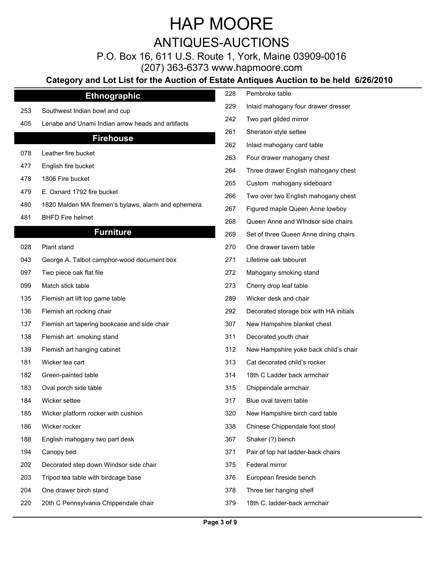ANTIQUES-AUCTIONS

P.O. Box 16, 611 U.S. Route 1, York, Maine 03909-0016

(207) 363-6373 www.hapmoore.com

### **Category and Lot List for the Auction of Estate Antiques Auction to be held 6/26/2010**

| <b>Ethnographic</b>       |
|---------------------------|
| est Indian bowl and cup   |
| and Unami Indian arrow he |

#### **Firehouse**

- 
- 
- 
- 479 E. Oxnard 1792 fire bucket
- 480 1820 Malden MA firemen's bylaws, alarm and ephemera
- 

#### **Furniture**

- 
- 043 George A. Talbot camphor-wood document box
- 097 Two piece oak flat file
- 
- 135 Flemish art lift top game table
- 136 Flemish art rocking chair
- 137 Flemish art tapering bookcase and side chair
- 138 Flemish art smoking stand
- 139 Flemish art hanging cabinet
- 
- 182 Green-painted table
- 183 Oval porch side table
- 
- 185 Wicker platform rocker with cushion
- 
- 188 English mahogany two part desk
- 
- 202 Decorated step down Windsor side chair
- 203 Tripod tea table with birdcage base 125.000 mm
- 204 One drawer birch stand 124.000 Metal 1278 Three tier hanging shelf 124.000 Metal 124.000 Metal 124.000 Me
- 220 20th C Pennsylvania Chippendale chair 125.000 1279

|     | Category and Lot List for the Auction of Estate Antiques Auction to be held 6/26/2010 |     |                                        |
|-----|---------------------------------------------------------------------------------------|-----|----------------------------------------|
|     | <b>Ethnographic</b>                                                                   | 228 | Pembroke table                         |
| 253 | Southwest Indian bowl and cup                                                         | 229 | Inlaid mahogany four drawer dresser    |
| 405 | Lenabe and Unami Indian arrow heads and artifacts                                     | 242 | Two part gilded mirror                 |
|     | <b>Firehouse</b>                                                                      | 261 | Sheraton style settee                  |
|     |                                                                                       | 262 | Inlaid mahogany card table             |
| 078 | Leather fire bucket                                                                   | 263 | Four drawer mahogany chest             |
| 477 | English fire bucket                                                                   | 264 | Three drawer English mahogany chest    |
| 478 | 1806 Fire bucket                                                                      | 265 | Custom mahogany sideboard              |
| 479 | E. Oxnard 1792 fire bucket                                                            | 266 | Two over two English mahogany chest    |
| 480 | 1820 Malden MA firemen's bylaws, alarm and ephemera                                   | 267 | Figured maple Queen Anne lowboy        |
| 481 | <b>BHFD Fire helmet</b>                                                               | 268 | Queen Anne and WIndsor side chairs     |
|     | <b>Furniture</b>                                                                      | 269 | Set of three Queen Anne dining chairs  |
| 028 | Plant stand                                                                           | 270 | One drawer tavern table                |
| 043 | George A. Talbot camphor-wood document box                                            | 271 | Lifetime oak tabouret                  |
| 097 | Two piece oak flat file                                                               | 272 | Mahogany smoking stand                 |
| 099 | Match stick table                                                                     | 273 | Cherry drop leaf table                 |
| 135 | Flemish art lift top game table                                                       | 289 | Wicker desk and chair                  |
| 136 | Flemish art rocking chair                                                             | 292 | Decorated storage box with HA initials |
| 137 | Flemish art tapering bookcase and side chair                                          | 307 | New Hampshire blanket chest            |
| 138 | Flemish art smoking stand                                                             | 311 | Decorated youth chair                  |
| 139 | Flemish art hanging cabinet                                                           | 312 | New Hampshire yoke back child's chair  |
| 181 | Wicker tea cart                                                                       | 313 | Cat decorated child's rocker           |
| 182 | Green-painted table                                                                   | 314 | 18th C Ladder back armchair            |
| 183 | Oval porch side table                                                                 | 315 | Chippendale armchair                   |
| 184 | Wicker settee                                                                         | 317 | Blue oval tavern table                 |
| 185 | Wicker platform rocker with cushion                                                   | 320 | New Hampshire birch card table         |
| 186 | Wicker rocker                                                                         | 338 | Chinese Chippendale foot stool         |
| 188 | English mahogany two part desk                                                        | 367 | Shaker (?) bench                       |
| 194 | Canopy bed                                                                            | 371 | Pair of top hat ladder-back chairs     |
| 202 | Decorated step down Windsor side chair                                                | 375 | Federal mirror                         |
| 203 | Tripod tea table with birdcage base                                                   | 376 | European fireside bench                |

- 
- 18th C. ladder-back armchair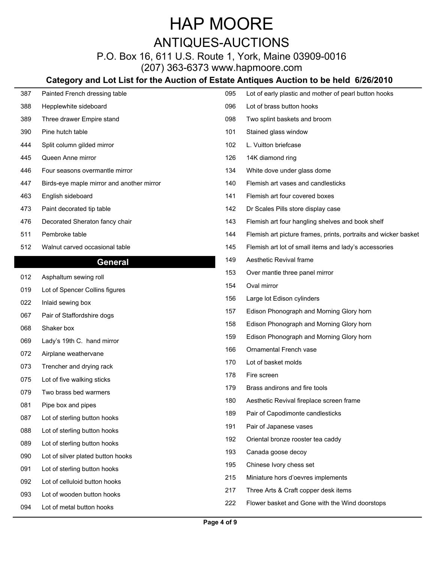### ANTIQUES-AUCTIONS

P.O. Box 16, 611 U.S. Route 1, York, Maine 03909-0016 (207) 363-6373 www.hapmoore.com

### **Category and Lot List for the Auction of Estate Antiques Auction to be held 6/26/2010**

| 387 | Painted French dressing table             | 095 | Lot of early plastic and mother of pearl button hooks           |
|-----|-------------------------------------------|-----|-----------------------------------------------------------------|
| 388 | Hepplewhite sideboard                     | 096 | Lot of brass button hooks                                       |
| 389 | Three drawer Empire stand                 | 098 | Two splint baskets and broom                                    |
| 390 | Pine hutch table                          | 101 | Stained glass window                                            |
| 444 | Split column gilded mirror                | 102 | L. Vuitton briefcase                                            |
| 445 | Queen Anne mirror                         | 126 | 14K diamond ring                                                |
| 446 | Four seasons overmantle mirror            | 134 | White dove under glass dome                                     |
| 447 | Birds-eye maple mirror and another mirror | 140 | Flemish art vases and candlesticks                              |
| 463 | English sideboard                         | 141 | Flemish art four covered boxes                                  |
| 473 | Paint decorated tip table                 | 142 | Dr Scales Pills store display case                              |
| 476 | Decorated Sheraton fancy chair            | 143 | Flemish art four hangling shelves and book shelf                |
| 511 | Pembroke table                            | 144 | Flemish art picture frames, prints, portraits and wicker basket |
| 512 | Walnut carved occasional table            | 145 | Flemish art lot of small items and lady's accessories           |
|     | <b>General</b>                            | 149 | Aesthetic Revival frame                                         |
| 012 | Asphaltum sewing roll                     | 153 | Over mantle three panel mirror                                  |
| 019 | Lot of Spencer Collins figures            | 154 | Oval mirror                                                     |
| 022 | Inlaid sewing box                         | 156 | Large lot Edison cylinders                                      |
| 067 | Pair of Staffordshire dogs                | 157 | Edison Phonograph and Morning Glory horn                        |
| 068 | Shaker box                                | 158 | Edison Phonograph and Morning Glory horn                        |
| 069 | Lady's 19th C. hand mirror                | 159 | Edison Phonograph and Morning Glory horn                        |
| 072 | Airplane weathervane                      | 166 | Ornamental French vase                                          |
| 073 | Trencher and drying rack                  | 170 | Lot of basket molds                                             |
| 075 | Lot of five walking sticks                | 178 | Fire screen                                                     |
| 079 | Two brass bed warmers                     | 179 | Brass andirons and fire tools                                   |
| 081 | Pipe box and pipes                        | 180 | Aesthetic Revival fireplace screen frame                        |
| 087 | Lot of sterling button hooks              | 189 | Pair of Capodimonte candlesticks                                |
|     | Lot of sterling button hooks              | 191 | Pair of Japanese vases                                          |
| 088 |                                           | 192 | Oriental bronze rooster tea caddy                               |
| 089 | Lot of sterling button hooks              | 193 | Canada goose decoy                                              |
| 090 | Lot of silver plated button hooks         | 195 | Chinese Ivory chess set                                         |
| 091 | Lot of sterling button hooks              | 215 | Miniature hors d'oevres implements                              |
| 092 | Lot of celluloid button hooks             | 217 | Three Arts & Craft copper desk items                            |
| 093 | Lot of wooden button hooks                | 222 | Flower basket and Gone with the Wind doorstops                  |
| 094 | Lot of metal button hooks                 |     |                                                                 |

ı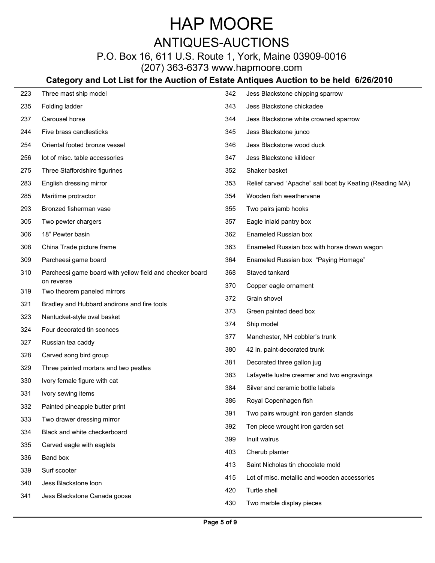### ANTIQUES-AUCTIONS

P.O. Box 16, 611 U.S. Route 1, York, Maine 03909-0016 (207) 363-6373 www.hapmoore.com

### **Category and Lot List for the Auction of Estate Antiques Auction to be held 6/26/2010**

| 223        | Three mast ship model                                    | 342 | Jess Blackstone chipping sparrow                         |
|------------|----------------------------------------------------------|-----|----------------------------------------------------------|
| 235        | Folding ladder                                           | 343 | Jess Blackstone chickadee                                |
| 237        | Carousel horse                                           | 344 | Jess Blackstone white crowned sparrow                    |
| 244        | Five brass candlesticks                                  | 345 | Jess Blackstone junco                                    |
| 254        | Oriental footed bronze vessel                            | 346 | Jess Blackstone wood duck                                |
| 256        | lot of misc. table accessories                           | 347 | Jess Blackstone killdeer                                 |
| 275        | Three Staffordshire figurines                            | 352 | Shaker basket                                            |
| 283        | English dressing mirror                                  | 353 | Relief carved "Apache" sail boat by Keating (Reading MA) |
| 285        | Maritime protractor                                      | 354 | Wooden fish weathervane                                  |
| 293        | Bronzed fisherman vase                                   | 355 | Two pairs jamb hooks                                     |
| 305        | Two pewter chargers                                      | 357 | Eagle inlaid pantry box                                  |
| 306        | 18" Pewter basin                                         | 362 | Enameled Russian box                                     |
| 308        | China Trade picture frame                                | 363 | Enameled Russian box with horse drawn wagon              |
| 309        | Parcheesi game board                                     | 364 | Enameled Russian box "Paying Homage"                     |
| 310        | Parcheesi game board with yellow field and checker board | 368 | Staved tankard                                           |
| 319        | on reverse<br>Two theorem paneled mirrors                | 370 | Copper eagle ornament                                    |
| 321        | Bradley and Hubbard andirons and fire tools              | 372 | Grain shovel                                             |
| 323        | Nantucket-style oval basket                              | 373 | Green painted deed box                                   |
| 324        | Four decorated tin sconces                               | 374 | Ship model                                               |
| 327        | Russian tea caddy                                        | 377 | Manchester, NH cobbler's trunk                           |
| 328        | Carved song bird group                                   | 380 | 42 in. paint-decorated trunk                             |
| 329        | Three painted mortars and two pestles                    | 381 | Decorated three gallon jug                               |
| 330        | Ivory female figure with cat                             | 383 | Lafayette lustre creamer and two engravings              |
| 331        | Ivory sewing items                                       | 384 | Silver and ceramic bottle labels                         |
| 332        | Painted pineapple butter print                           | 386 | Royal Copenhagen fish                                    |
| 333        | Two drawer dressing mirror                               | 391 | Two pairs wrought iron garden stands                     |
| 334        | Black and white checkerboard                             | 392 | Ten piece wrought iron garden set                        |
| 335        | Carved eagle with eaglets                                | 399 | Inuit walrus                                             |
|            | Band box                                                 | 403 | Cherub planter                                           |
| 336<br>339 | Surf scooter                                             | 413 | Saint Nicholas tin chocolate mold                        |
|            | Jess Blackstone loon                                     | 415 | Lot of misc. metallic and wooden accessories             |
| 340        | Jess Blackstone Canada goose                             | 420 | Turtle shell                                             |
| 341        |                                                          | 430 | Two marble display pieces                                |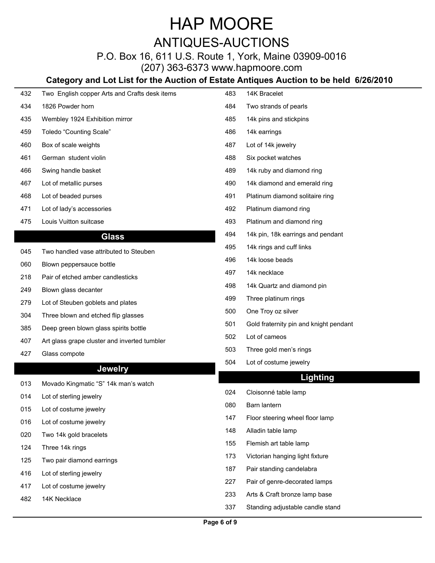ANTIQUES-AUCTIONS

P.O. Box 16, 611 U.S. Route 1, York, Maine 03909-0016

(207) 363-6373 www.hapmoore.com

### **Category and Lot List for the Auction of Estate Antiques Auction to be held 6/26/2010**

| 432 | Two English copper Arts and Crafts desk items | 483 | 14K Bracelet                           |
|-----|-----------------------------------------------|-----|----------------------------------------|
| 434 | 1826 Powder horn                              | 484 | Two strands of pearls                  |
| 435 | Wembley 1924 Exhibition mirror                | 485 | 14k pins and stickpins                 |
| 459 | Toledo "Counting Scale"                       | 486 | 14k earrings                           |
| 460 | Box of scale weights                          | 487 | Lot of 14k jewelry                     |
| 461 | German student violin                         | 488 | Six pocket watches                     |
| 466 | Swing handle basket                           | 489 | 14k ruby and diamond ring              |
| 467 | Lot of metallic purses                        | 490 | 14k diamond and emerald ring           |
| 468 | Lot of beaded purses                          | 491 | Platinum diamond solitaire ring        |
| 471 | Lot of lady's accessories                     | 492 | Platinum diamond ring                  |
| 475 | Louis Vuitton suitcase                        | 493 | Platinum and diamond ring              |
|     | <b>Glass</b>                                  | 494 | 14k pin, 18k earrings and pendant      |
| 045 | Two handled vase attributed to Steuben        | 495 | 14k rings and cuff links               |
| 060 | Blown peppersauce bottle                      | 496 | 14k loose beads                        |
| 218 | Pair of etched amber candlesticks             | 497 | 14k necklace                           |
| 249 | Blown glass decanter                          | 498 | 14k Quartz and diamond pin             |
| 279 | Lot of Steuben goblets and plates             | 499 | Three platinum rings                   |
| 304 | Three blown and etched flip glasses           | 500 | One Troy oz silver                     |
| 385 | Deep green blown glass spirits bottle         | 501 | Gold fraternity pin and knight pendant |
| 407 | Art glass grape cluster and inverted tumbler  | 502 | Lot of cameos                          |
| 427 | Glass compote                                 | 503 | Three gold men's rings                 |
|     |                                               | 504 | Lot of costume jewelry                 |
|     | <b>Jewelry</b>                                |     | <b>Lighting</b>                        |
| 013 | Movado Kingmatic "S" 14k man's watch          | 024 | Cloisonné table lamp                   |
| 014 | Lot of sterling jewelry                       | 080 | Barn lantern                           |
| 015 | Lot of costume jewelry                        | 147 | Floor steering wheel floor lamp        |
| 016 | Lot of costume jewelry                        | 148 | Alladin table lamp                     |
| 020 | Two 14k gold bracelets                        | 155 | Flemish art table lamp                 |
| 124 | Three 14k rings                               | 173 | Victorian hanging light fixture        |
| 125 | Two pair diamond earrings                     | 187 | Pair standing candelabra               |
| 416 | Lot of sterling jewelry                       | 227 | Pair of genre-decorated lamps          |
| 417 | Lot of costume jewelry                        | 233 | Arts & Craft bronze lamp base          |
| 482 | 14K Necklace                                  | 337 |                                        |
|     |                                               |     | Standing adjustable candle stand       |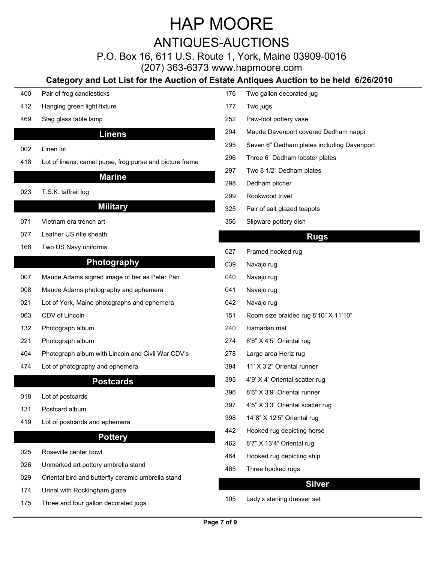ANTIQUES-AUCTIONS

P.O. Box 16, 611 U.S. Route 1, York, Maine 03909-0016

(207) 363-6373 www.hapmoore.com

### **Category and Lot List for the Auction of Estate Antiques Auction to be held 6/26/2010**

- 400 Pair of frog candlesticks North Control of the Control of the Two gallon decorated jug 126.000 Pair of the Control of the Control of the Control of the Control of the Control of the Control of the Control of the Contro 412 Hanging green light fixture 124.000 and 124.000 and 127 Two jugs 469 Slag glass table lamp 124.00 252 Paw-foot pottery vase 124.00 **Linens** 002 Linen lot 124.000 model was a control of the control of the control of the control of the control of the control of the control of the control of the control of the control of the control of the control of the control 418 Lot of linens, camel purse, frog purse and picture frame 1296 **Marine** 023 T.S.K. taffrail log 124.000 to 124.000 to 124.000 to 124.000 to 124.000 to 124.000 to 124.000 to 124.000 to 1 **Military** 071 Vietnam era trench art 124.00 356 Slipware pottery dish 124.00 077 Leather US rifle sheath 168 Two US Navy uniforms 168 and the US Navy uniforms 124.000 minutes of the US Navy 124.000 minutes 124.000 minutes of the US Navy 124.000 minutes of the US Navy 120.000 minutes of the US Navy 120.000 minutes of the US Na **Photography** 007 Maude Adams signed image of her as Peter Pan 1240 Navajo rug 008 Maude Adams photography and ephemera 124.000 10041 Navajo rug 021 Lot of York, Maine photographs and ephemera 1242 Navajo rug 063 CDV of Lincoln 151 Room size braided rug 8'10" X 11'10" 132 Photograph album 124.00 221 Photograph album 124.00 274 6'6" X 4'5" Oriental rug 124.00 404 Photograph album with Lincoln and Civil War CDV's 278 474 Lot of photography and ephemera 124.000 mm **Postcards**  $018$  Lot of postcards  $0.02$  and  $0.02$  and  $0.02$  and  $0.02$  and  $0.02$  and  $0.02$  and  $0.02$  and  $0.02$  and  $0.02$  and  $0.02$  and  $0.02$  and  $0.02$  and  $0.02$  and  $0.02$  and  $0.02$  and  $0.02$  and  $0.02$  and  $0.02$  and 131 Postcard album and the contract of the contract of the contract of the contract of the contract of the contract of the contract of the contract of the contract of the contract of the contract of the contract of the con 419 Lot of postcards and ephemera 124.000 method of the 124.000 method of the 124.000 method of the 124.000 method of the 124.000 method of the 124.000 method of the 124.000 method of the 124.000 method of the 124.000 meth **Pottery** 025 Roseville center bowl the contract of the contract of the contract of the contract of the contract of the contract of the contract of the contract of the contract of the contract of the contract of the contract of the 026 Unmarked art pottery umbrella stand<br>465 Three hooked rugs 029 Oriental bird and butterfly ceramic umbrella stand
- 174 Urinal with Rockingham glaze
- 175 Three and four gallon decorated jugs 125
- 
- 177 Two jugs 124.000 million was also been also been also been also been also been also been also be
- 
- 294 Maude Davenport covered Dedham nappi
- 295 Seven 6" Dedham plates including Davenport
- Three 6" Dedham lobster plates
- 297 Two 8 1/2" Dedham plates
- 298 Dedham pitcher 124.000 personalism and the 124.000 personalism and the 124.000 personalism and the 124.000
- 299 Rookwood trivet
- 325 Pair of salt glazed teapots
- 

#### **Rugs**

- 027 Framed hooked rug 124.000 Framed hooked rug
- 039 Navajo rug 124.000 Navajo rugado en la construcción de la construcción de la construcción de la construcció
- 040 Navajo rug 124.000 Navajo ruga 124.000 Navajo rug
- 041 Navajo rug 124.000 novembro 124.000 novembro 124.000 novembro 124.000 novembro 124.000 novembro 124.000 no
- 042 Navajo rug 124.000 Navajo ruga 124.000 Navajo rugo
- 
- 240 Hamadan mat 124.000 Hamadan mat 124.000 Hamadan mat 124.000 Hamadan mat 124.000 Hamadan mat 124.000 Hamada
- 
- Large area Heriz rug
- 11' X 3'2" Oriental runner
- 395 4'9' X 4' Oriental scatter rug
- $396$   $8'6''$  X  $3'9''$  Oriental runner
- 397 4'5" X 3'3" Oriental scatter rug
- 14"8" X 12'5" Oriental rug
- 442 Hooked rug depicting horse
- 462 8'7" X 13'4" Oriental rug
- 464 Hooked rug depicting ship
- 465 Three hooked rugs 124.000 and 124.000 and 124.000 and 124.000 and 124.000 and 124.000 and 124.000 and 124.000 and 124.000 and 124.000 and 124.000 and 124.000 and 124.000 and 124.000 and 124.000 and 124.000 and 124.000

#### **Silver**

Lady's sterling dresser set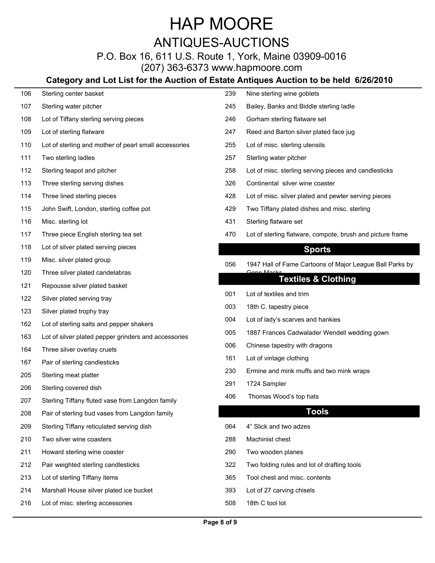### HAP MOORE ANTIQUES-AUCTIONS

### P.O. Box 16, 611 U.S. Route 1, York, Maine 03909-0016

(207) 363-6373 www.hapmoore.com

### **Category and Lot List for the Auction of Estate Antiques Auction to be held 6/26/2010**

| 106 | Sterling center basket                                | 239 | Nine sterling wine goblets                                 |
|-----|-------------------------------------------------------|-----|------------------------------------------------------------|
| 107 | Sterling water pitcher                                | 245 | Bailey, Banks and Biddle sterling ladle                    |
| 108 | Lot of Tiffany sterling serving pieces                | 246 | Gorham sterling flatware set                               |
| 109 | Lot of sterling flatware                              | 247 | Reed and Barton silver plated face jug                     |
| 110 | Lot of sterling and mother of pearl small accessories | 255 | Lot of misc. sterling utensils                             |
| 111 | Two sterling ladles                                   | 257 | Sterling water pitcher                                     |
| 112 | Sterling teapot and pitcher                           | 258 | Lot of misc. sterling serving pieces and candlesticks      |
| 113 | Three sterling serving dishes                         | 326 | Continental silver wine coaster                            |
| 114 | Three lined sterling pieces                           | 428 | Lot of misc. silver plated and pewter serving pieces       |
| 115 | John Swift, London, sterling coffee pot               | 429 | Two Tiffany plated dishes and misc. sterling               |
| 116 | Misc. sterling lot                                    | 431 | Sterling flatware set                                      |
| 117 | Three piece English sterling tea set                  | 470 | Lot of sterling flatware, compote, brush and picture frame |
| 118 | Lot of silver plated serving pieces                   |     | <b>Sports</b>                                              |
| 119 | Misc. silver plated group                             | 056 | 1947 Hall of Fame Cartoons of Major League Ball Parks by   |
| 120 | Three silver plated candelabras                       |     | Cono Maeke                                                 |
| 121 | Repousse silver plated basket                         |     | <b>Textiles &amp; Clothing</b>                             |
| 122 | Silver plated serving tray                            | 001 | Lot of textiles and trim                                   |
| 123 | Silver plated trophy tray                             | 003 | 18th C. tapestry piece                                     |
| 162 | Lot of sterling salts and pepper shakers              | 004 | Lot of lady's scarves and hankies                          |
| 163 | Lot of silver plated pepper grinders and accessories  | 005 | 1887 Frances Cadwalader Wendell wedding gown               |
| 164 | Three silver overlay cruets                           | 006 | Chinese tapestry with dragons                              |
| 167 | Pair of sterling candlesticks                         | 161 | Lot of vintage clothing                                    |
| 205 | Sterling meat platter                                 | 230 | Ermine and mink muffs and two mink wraps                   |
| 206 | Sterling covered dish                                 | 291 | 1724 Sampler                                               |
| 207 | Sterling Tiffany fluted vase from Langdon family      | 406 | Thomas Wood's top hats                                     |
| 208 | Pair of sterling bud vases from Langdon family        |     | <b>Tools</b>                                               |
| 209 | Sterling Tiffany reticulated serving dish             | 064 | 4" Slick and two adzes                                     |
| 210 | Two silver wine coasters                              | 288 | Machinist chest                                            |
| 211 | Howard sterling wine coaster                          | 290 | Two wooden planes                                          |
| 212 | Pair weighted sterling candlesticks                   | 322 | Two folding rules and lot of drafting tools                |
| 213 | Lot of sterling Tiffany items                         | 365 | Tool chest and misc. contents                              |
| 214 | Marshall House silver plated ice bucket               | 393 | Lot of 27 carving chisels                                  |
| 216 | Lot of misc. sterling accessories                     | 508 | 18th C tool lot                                            |
|     |                                                       |     |                                                            |